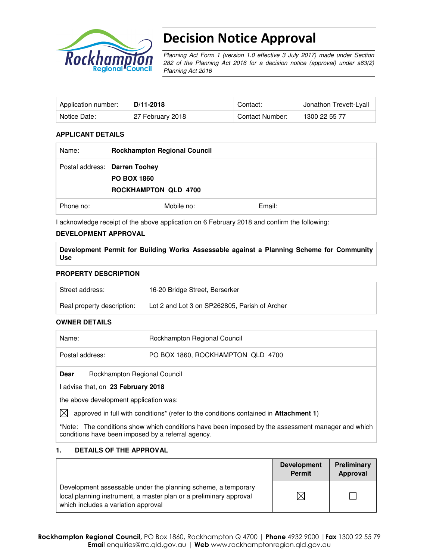

# Decision Notice Approval

Planning Act Form 1 (version 1.0 effective 3 July 2017) made under Section 282 of the Planning Act 2016 for a decision notice (approval) under s63(2) Planning Act 2016

| Application number: | D/11-2018        | Contact:        | Jonathon Trevett-Lyall |
|---------------------|------------------|-----------------|------------------------|
| Notice Date:        | 27 February 2018 | Contact Number: | 1300 22 55 77          |

#### **APPLICANT DETAILS**

| Name:     | <b>Rockhampton Regional Council</b>                                                |        |
|-----------|------------------------------------------------------------------------------------|--------|
|           | Postal address: Darren Toohey<br><b>PO BOX 1860</b><br><b>ROCKHAMPTON QLD 4700</b> |        |
| Phone no: | Mobile no:                                                                         | Email: |

I acknowledge receipt of the above application on 6 February 2018 and confirm the following:

#### **DEVELOPMENT APPROVAL**

**Development Permit for Building Works Assessable against a Planning Scheme for Community Use** 

#### **PROPERTY DESCRIPTION**

| Street address:            | 16-20 Bridge Street, Berserker                |
|----------------------------|-----------------------------------------------|
| Real property description: | Lot 2 and Lot 3 on SP262805, Parish of Archer |

#### **OWNER DETAILS**

| Name:                                                                                                           | Rockhampton Regional Council      |  |
|-----------------------------------------------------------------------------------------------------------------|-----------------------------------|--|
| Postal address:                                                                                                 | PO BOX 1860, ROCKHAMPTON QLD 4700 |  |
| Rockhampton Regional Council<br><b>Dear</b>                                                                     |                                   |  |
| advise that, on 23 February 2018                                                                                |                                   |  |
| the above development application was:                                                                          |                                   |  |
| (1) المتوجعة والمتعلق المن أو من أو المتوجع المتوجع المعلومات المتوجعات المتوجع المتارين الرياسية المتوجع ومن و |                                   |  |

 $[3]$  approved in full with conditions<sup>\*</sup> (refer to the conditions contained in **Attachment 1**)

**\***Note:The conditions show which conditions have been imposed by the assessment manager and which conditions have been imposed by a referral agency.

#### **1. DETAILS OF THE APPROVAL**

|                                                                                                                                                                            | <b>Development</b><br><b>Permit</b> | Preliminary<br>Approval |
|----------------------------------------------------------------------------------------------------------------------------------------------------------------------------|-------------------------------------|-------------------------|
| Development assessable under the planning scheme, a temporary<br>local planning instrument, a master plan or a preliminary approval<br>which includes a variation approval |                                     |                         |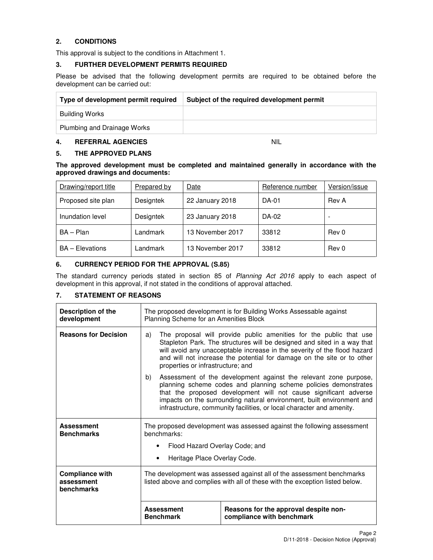## **2. CONDITIONS**

This approval is subject to the conditions in Attachment 1.

#### **3. FURTHER DEVELOPMENT PERMITS REQUIRED**

Please be advised that the following development permits are required to be obtained before the development can be carried out:

| Type of development permit required | Subject of the required development permit |
|-------------------------------------|--------------------------------------------|
| <b>Building Works</b>               |                                            |
| Plumbing and Drainage Works         |                                            |

#### **4. REFERRAL AGENCIES** NIL

#### **5. THE APPROVED PLANS**

**The approved development must be completed and maintained generally in accordance with the approved drawings and documents:** 

| Drawing/report title   | <b>Prepared by</b> | Date             | Reference number | Version/issue |
|------------------------|--------------------|------------------|------------------|---------------|
| Proposed site plan     | Designtek          | 22 January 2018  | <b>DA-01</b>     | Rev A         |
| Inundation level       | Designtek          | 23 January 2018  | DA-02            |               |
| BA - Plan              | Landmark           | 13 November 2017 | 33812            | Rev 0         |
| <b>BA</b> – Elevations | Landmark           | 13 November 2017 | 33812            | Rev 0         |

#### **6. CURRENCY PERIOD FOR THE APPROVAL (S.85)**

The standard currency periods stated in section 85 of Planning Act 2016 apply to each aspect of development in this approval, if not stated in the conditions of approval attached.

#### **7. STATEMENT OF REASONS**

| <b>Description of the</b><br>development           | The proposed development is for Building Works Assessable against<br>Planning Scheme for an Amenities Block                                                                                                                                                                                                                                    |                                                                                                                                                                                                                                                                                                                                                           |  |  |  |
|----------------------------------------------------|------------------------------------------------------------------------------------------------------------------------------------------------------------------------------------------------------------------------------------------------------------------------------------------------------------------------------------------------|-----------------------------------------------------------------------------------------------------------------------------------------------------------------------------------------------------------------------------------------------------------------------------------------------------------------------------------------------------------|--|--|--|
| <b>Reasons for Decision</b>                        | The proposal will provide public amenities for the public that use<br>a)<br>Stapleton Park. The structures will be designed and sited in a way that<br>will avoid any unacceptable increase in the severity of the flood hazard<br>and will not increase the potential for damage on the site or to other<br>properties or infrastructure; and |                                                                                                                                                                                                                                                                                                                                                           |  |  |  |
|                                                    | b)                                                                                                                                                                                                                                                                                                                                             | Assessment of the development against the relevant zone purpose,<br>planning scheme codes and planning scheme policies demonstrates<br>that the proposed development will not cause significant adverse<br>impacts on the surrounding natural environment, built environment and<br>infrastructure, community facilities, or local character and amenity. |  |  |  |
| <b>Assessment</b><br><b>Benchmarks</b>             | The proposed development was assessed against the following assessment<br>benchmarks:                                                                                                                                                                                                                                                          |                                                                                                                                                                                                                                                                                                                                                           |  |  |  |
|                                                    | Flood Hazard Overlay Code; and                                                                                                                                                                                                                                                                                                                 |                                                                                                                                                                                                                                                                                                                                                           |  |  |  |
|                                                    |                                                                                                                                                                                                                                                                                                                                                | Heritage Place Overlay Code.                                                                                                                                                                                                                                                                                                                              |  |  |  |
| <b>Compliance with</b><br>assessment<br>benchmarks | The development was assessed against all of the assessment benchmarks<br>listed above and complies with all of these with the exception listed below.                                                                                                                                                                                          |                                                                                                                                                                                                                                                                                                                                                           |  |  |  |
|                                                    | <b>Assessment</b><br><b>Benchmark</b>                                                                                                                                                                                                                                                                                                          | Reasons for the approval despite non-<br>compliance with benchmark                                                                                                                                                                                                                                                                                        |  |  |  |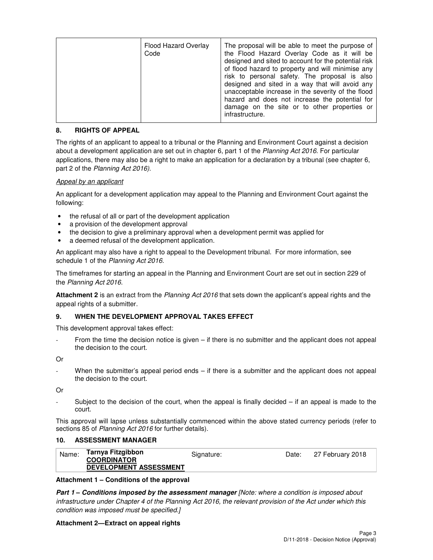| Flood Hazard Overlay<br>Code | The proposal will be able to meet the purpose of<br>the Flood Hazard Overlay Code as it will be<br>designed and sited to account for the potential risk<br>of flood hazard to property and will minimise any<br>risk to personal safety. The proposal is also<br>designed and sited in a way that will avoid any<br>unacceptable increase in the severity of the flood<br>hazard and does not increase the potential for<br>damage on the site or to other properties or<br>infrastructure. |
|------------------------------|---------------------------------------------------------------------------------------------------------------------------------------------------------------------------------------------------------------------------------------------------------------------------------------------------------------------------------------------------------------------------------------------------------------------------------------------------------------------------------------------|
|------------------------------|---------------------------------------------------------------------------------------------------------------------------------------------------------------------------------------------------------------------------------------------------------------------------------------------------------------------------------------------------------------------------------------------------------------------------------------------------------------------------------------------|

#### **8. RIGHTS OF APPEAL**

The rights of an applicant to appeal to a tribunal or the Planning and Environment Court against a decision about a development application are set out in chapter 6, part 1 of the Planning Act 2016. For particular applications, there may also be a right to make an application for a declaration by a tribunal (see chapter 6, part 2 of the Planning Act 2016).

#### Appeal by an applicant

An applicant for a development application may appeal to the Planning and Environment Court against the following:

- the refusal of all or part of the development application
- a provision of the development approval
- the decision to give a preliminary approval when a development permit was applied for
- a deemed refusal of the development application.

An applicant may also have a right to appeal to the Development tribunal. For more information, see schedule 1 of the Planning Act 2016.

The timeframes for starting an appeal in the Planning and Environment Court are set out in section 229 of the Planning Act 2016.

**Attachment 2** is an extract from the Planning Act 2016 that sets down the applicant's appeal rights and the appeal rights of a submitter.

#### **9. WHEN THE DEVELOPMENT APPROVAL TAKES EFFECT**

This development approval takes effect:

From the time the decision notice is given – if there is no submitter and the applicant does not appeal the decision to the court.

Or

When the submitter's appeal period ends – if there is a submitter and the applicant does not appeal the decision to the court.

Or

Subject to the decision of the court, when the appeal is finally decided  $-$  if an appeal is made to the court.

This approval will lapse unless substantially commenced within the above stated currency periods (refer to sections 85 of Planning Act 2016 for further details).

#### **10. ASSESSMENT MANAGER**

| Name: | Tarnya Fitzgibbon<br><b>COORDINATOR</b> | Signature: | Date: | 27 February 2018 |
|-------|-----------------------------------------|------------|-------|------------------|
|       | <b>DEVELOPMENT ASSESSMENT</b>           |            |       |                  |

#### **Attachment 1 – Conditions of the approval**

**Part 1 – Conditions imposed by the assessment manager** [Note: where a condition is imposed about infrastructure under Chapter 4 of the Planning Act 2016, the relevant provision of the Act under which this condition was imposed must be specified.]

#### **Attachment 2—Extract on appeal rights**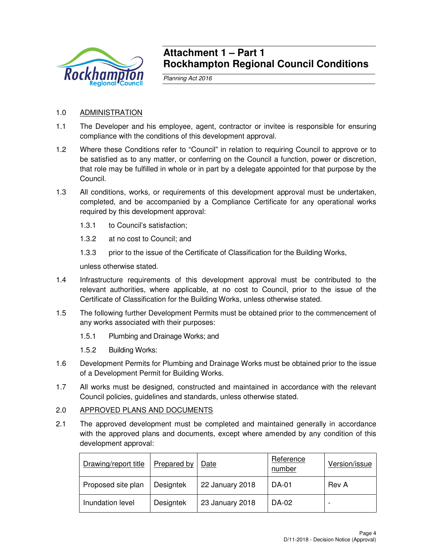

## **Attachment 1 – Part 1 Rockhampton Regional Council Conditions**

Planning Act 2016

## 1.0 ADMINISTRATION

- 1.1 The Developer and his employee, agent, contractor or invitee is responsible for ensuring compliance with the conditions of this development approval.
- 1.2 Where these Conditions refer to "Council" in relation to requiring Council to approve or to be satisfied as to any matter, or conferring on the Council a function, power or discretion, that role may be fulfilled in whole or in part by a delegate appointed for that purpose by the Council.
- 1.3 All conditions, works, or requirements of this development approval must be undertaken, completed, and be accompanied by a Compliance Certificate for any operational works required by this development approval:
	- 1.3.1 to Council's satisfaction;
	- 1.3.2 at no cost to Council; and
	- 1.3.3 prior to the issue of the Certificate of Classification for the Building Works,

unless otherwise stated.

- 1.4 Infrastructure requirements of this development approval must be contributed to the relevant authorities, where applicable, at no cost to Council, prior to the issue of the Certificate of Classification for the Building Works, unless otherwise stated.
- 1.5 The following further Development Permits must be obtained prior to the commencement of any works associated with their purposes:
	- 1.5.1 Plumbing and Drainage Works; and
	- 1.5.2 Building Works:
- 1.6 Development Permits for Plumbing and Drainage Works must be obtained prior to the issue of a Development Permit for Building Works.
- 1.7 All works must be designed, constructed and maintained in accordance with the relevant Council policies, guidelines and standards, unless otherwise stated.

## 2.0 APPROVED PLANS AND DOCUMENTS

2.1 The approved development must be completed and maintained generally in accordance with the approved plans and documents, except where amended by any condition of this development approval:

| Drawing/report title | Prepared by | Date            | Reference<br>number | Version/issue |
|----------------------|-------------|-----------------|---------------------|---------------|
| Proposed site plan   | Designtek   | 22 January 2018 | <b>DA-01</b>        | Rev A         |
| Inundation level     | Designtek   | 23 January 2018 | DA-02               |               |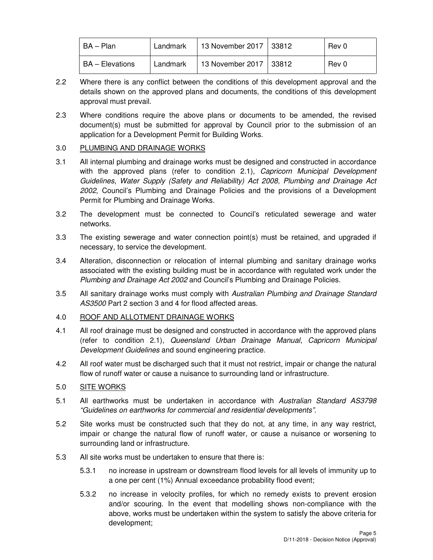| l BA – Plan            | Landmark | 13 November 2017   33812 | Rev 0 |
|------------------------|----------|--------------------------|-------|
| <b>BA</b> – Elevations | Landmark | 13 November 2017   33812 | Rev 0 |

- 2.2 Where there is any conflict between the conditions of this development approval and the details shown on the approved plans and documents, the conditions of this development approval must prevail.
- 2.3 Where conditions require the above plans or documents to be amended, the revised document(s) must be submitted for approval by Council prior to the submission of an application for a Development Permit for Building Works.

## 3.0 PLUMBING AND DRAINAGE WORKS

- 3.1 All internal plumbing and drainage works must be designed and constructed in accordance with the approved plans (refer to condition 2.1), Capricorn Municipal Development Guidelines, Water Supply (Safety and Reliability) Act 2008, Plumbing and Drainage Act 2002, Council's Plumbing and Drainage Policies and the provisions of a Development Permit for Plumbing and Drainage Works.
- 3.2 The development must be connected to Council's reticulated sewerage and water networks.
- 3.3 The existing sewerage and water connection point(s) must be retained, and upgraded if necessary, to service the development.
- 3.4 Alteration, disconnection or relocation of internal plumbing and sanitary drainage works associated with the existing building must be in accordance with regulated work under the Plumbing and Drainage Act 2002 and Council's Plumbing and Drainage Policies.
- 3.5 All sanitary drainage works must comply with Australian Plumbing and Drainage Standard AS3500 Part 2 section 3 and 4 for flood affected areas.

## 4.0 ROOF AND ALLOTMENT DRAINAGE WORKS

- 4.1 All roof drainage must be designed and constructed in accordance with the approved plans (refer to condition 2.1), Queensland Urban Drainage Manual, Capricorn Municipal Development Guidelines and sound engineering practice.
- 4.2 All roof water must be discharged such that it must not restrict, impair or change the natural flow of runoff water or cause a nuisance to surrounding land or infrastructure.

## 5.0 SITE WORKS

- 5.1 All earthworks must be undertaken in accordance with Australian Standard AS3798 "Guidelines on earthworks for commercial and residential developments".
- 5.2 Site works must be constructed such that they do not, at any time, in any way restrict, impair or change the natural flow of runoff water, or cause a nuisance or worsening to surrounding land or infrastructure.
- 5.3 All site works must be undertaken to ensure that there is:
	- 5.3.1 no increase in upstream or downstream flood levels for all levels of immunity up to a one per cent (1%) Annual exceedance probability flood event;
	- 5.3.2 no increase in velocity profiles, for which no remedy exists to prevent erosion and/or scouring. In the event that modelling shows non-compliance with the above, works must be undertaken within the system to satisfy the above criteria for development;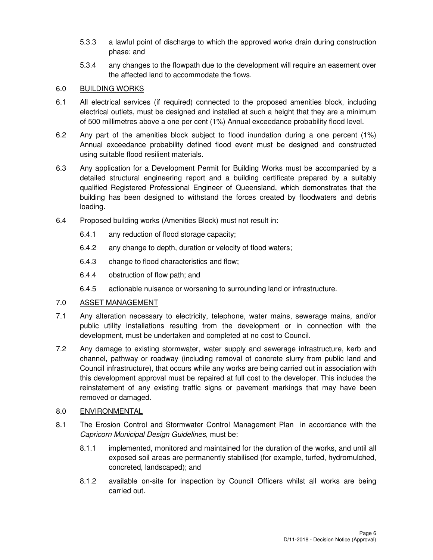- 5.3.3 a lawful point of discharge to which the approved works drain during construction phase; and
- 5.3.4 any changes to the flowpath due to the development will require an easement over the affected land to accommodate the flows.

### 6.0 BUILDING WORKS

- 6.1 All electrical services (if required) connected to the proposed amenities block, including electrical outlets, must be designed and installed at such a height that they are a minimum of 500 millimetres above a one per cent (1%) Annual exceedance probability flood level.
- 6.2 Any part of the amenities block subject to flood inundation during a one percent (1%) Annual exceedance probability defined flood event must be designed and constructed using suitable flood resilient materials.
- 6.3 Any application for a Development Permit for Building Works must be accompanied by a detailed structural engineering report and a building certificate prepared by a suitably qualified Registered Professional Engineer of Queensland, which demonstrates that the building has been designed to withstand the forces created by floodwaters and debris loading.
- 6.4 Proposed building works (Amenities Block) must not result in:
	- 6.4.1 any reduction of flood storage capacity;
	- 6.4.2 any change to depth, duration or velocity of flood waters;
	- 6.4.3 change to flood characteristics and flow;
	- 6.4.4 obstruction of flow path; and
	- 6.4.5 actionable nuisance or worsening to surrounding land or infrastructure.

## 7.0 ASSET MANAGEMENT

- 7.1 Any alteration necessary to electricity, telephone, water mains, sewerage mains, and/or public utility installations resulting from the development or in connection with the development, must be undertaken and completed at no cost to Council.
- 7.2 Any damage to existing stormwater, water supply and sewerage infrastructure, kerb and channel, pathway or roadway (including removal of concrete slurry from public land and Council infrastructure), that occurs while any works are being carried out in association with this development approval must be repaired at full cost to the developer. This includes the reinstatement of any existing traffic signs or pavement markings that may have been removed or damaged.

#### 8.0 ENVIRONMENTAL

- 8.1 The Erosion Control and Stormwater Control Management Plan in accordance with the Capricorn Municipal Design Guidelines, must be:
	- 8.1.1 implemented, monitored and maintained for the duration of the works, and until all exposed soil areas are permanently stabilised (for example, turfed, hydromulched, concreted, landscaped); and
	- 8.1.2 available on-site for inspection by Council Officers whilst all works are being carried out.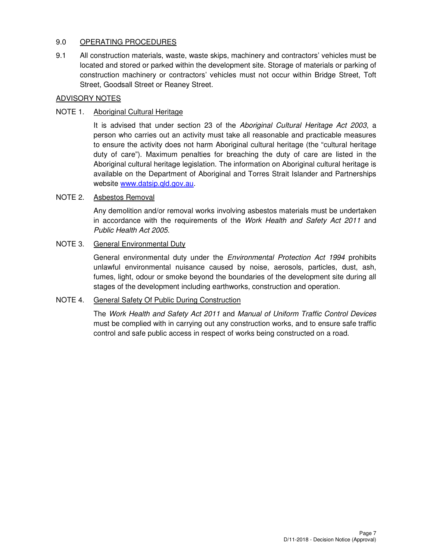## 9.0 OPERATING PROCEDURES

9.1 All construction materials, waste, waste skips, machinery and contractors' vehicles must be located and stored or parked within the development site. Storage of materials or parking of construction machinery or contractors' vehicles must not occur within Bridge Street, Toft Street, Goodsall Street or Reaney Street.

#### ADVISORY NOTES

### NOTE 1. Aboriginal Cultural Heritage

It is advised that under section 23 of the Aboriginal Cultural Heritage Act 2003, a person who carries out an activity must take all reasonable and practicable measures to ensure the activity does not harm Aboriginal cultural heritage (the "cultural heritage duty of care"). Maximum penalties for breaching the duty of care are listed in the Aboriginal cultural heritage legislation. The information on Aboriginal cultural heritage is available on the Department of Aboriginal and Torres Strait Islander and Partnerships website www.datsip.qld.gov.au.

#### NOTE 2. Asbestos Removal

Any demolition and/or removal works involving asbestos materials must be undertaken in accordance with the requirements of the Work Health and Safety Act 2011 and Public Health Act 2005.

#### NOTE 3. General Environmental Duty

General environmental duty under the *Environmental Protection Act 1994* prohibits unlawful environmental nuisance caused by noise, aerosols, particles, dust, ash, fumes, light, odour or smoke beyond the boundaries of the development site during all stages of the development including earthworks, construction and operation.

#### NOTE 4. General Safety Of Public During Construction

The Work Health and Safety Act 2011 and Manual of Uniform Traffic Control Devices must be complied with in carrying out any construction works, and to ensure safe traffic control and safe public access in respect of works being constructed on a road.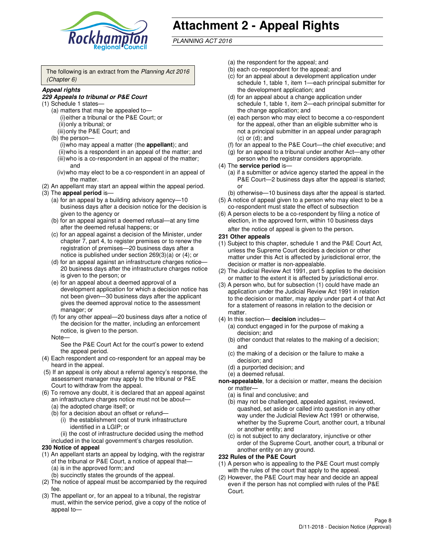

# **Attachment 2 - Appeal Rights**

PLANNING ACT 2016

The following is an extract from the Planning Act 2016 (Chapter 6)

#### **Appeal rights**

#### **229 Appeals to tribunal or P&E Court**

- (1) Schedule 1 states—
	- (a) matters that may be appealed to— (i) either a tribunal or the P&E Court; or (ii) only a tribunal; or (iii) only the P&E Court; and
	- (b) the person—
		- (i) who may appeal a matter (the **appellant**); and
		- (ii) who is a respondent in an appeal of the matter; and (iii) who is a co-respondent in an appeal of the matter; and
		- (iv) who may elect to be a co-respondent in an appeal of the matter.
- (2) An appellant may start an appeal within the appeal period.
- (3) The **appeal period** is—
	- (a) for an appeal by a building advisory agency—10 business days after a decision notice for the decision is given to the agency or
	- (b) for an appeal against a deemed refusal—at any time after the deemed refusal happens; or
	- (c) for an appeal against a decision of the Minister, under chapter 7, part 4, to register premises or to renew the registration of premises—20 business days after a notice is published under section 269(3)(a) or (4); or
	- (d) for an appeal against an infrastructure charges notice— 20 business days after the infrastructure charges notice is given to the person; or
	- (e) for an appeal about a deemed approval of a development application for which a decision notice has not been given—30 business days after the applicant gives the deemed approval notice to the assessment manager; or
	- (f) for any other appeal—20 business days after a notice of the decision for the matter, including an enforcement notice, is given to the person.
	- Note—

See the P&E Court Act for the court's power to extend the appeal period.

- (4) Each respondent and co-respondent for an appeal may be heard in the appeal.
- (5) If an appeal is only about a referral agency's response, the assessment manager may apply to the tribunal or P&E Court to withdraw from the appeal.
- (6) To remove any doubt, it is declared that an appeal against an infrastructure charges notice must not be about—
	- (a) the adopted charge itself; or
	- (b) for a decision about an offset or refund—
		- (i) the establishment cost of trunk infrastructure identified in a LGIP; or
		- (ii) the cost of infrastructure decided using the method
- included in the local government's charges resolution. **230 Notice of appeal**
- (1) An appellant starts an appeal by lodging, with the registrar
- of the tribunal or P&E Court, a notice of appeal that— (a) is in the approved form; and
	- (b) succinctly states the grounds of the appeal.
- (2) The notice of appeal must be accompanied by the required fee.
- (3) The appellant or, for an appeal to a tribunal, the registrar must, within the service period, give a copy of the notice of appeal to—
- (a) the respondent for the appeal; and
- (b) each co-respondent for the appeal; and
- (c) for an appeal about a development application under schedule 1, table 1, item 1—each principal submitter for the development application; and
- (d) for an appeal about a change application under schedule 1, table 1, item 2—each principal submitter for the change application; and
- (e) each person who may elect to become a co-respondent for the appeal, other than an eligible submitter who is not a principal submitter in an appeal under paragraph  $(c)$  or  $(d)$ ; and
- (f) for an appeal to the P&E Court—the chief executive; and
- (g) for an appeal to a tribunal under another Act—any other person who the registrar considers appropriate.
- (4) The **service period** is—
	- (a) if a submitter or advice agency started the appeal in the P&E Court—2 business days after the appeal is started; or
	- (b) otherwise—10 business days after the appeal is started.
- (5) A notice of appeal given to a person who may elect to be a co-respondent must state the effect of subsection
- (6) A person elects to be a co-respondent by filing a notice of election, in the approved form, within 10 business days after the notice of appeal is given to the person*.*
- **231 Other appeals**
- (1) Subject to this chapter, schedule 1 and the P&E Court Act, unless the Supreme Court decides a decision or other matter under this Act is affected by jurisdictional error, the decision or matter is non-appealable.
- (2) The Judicial Review Act 1991, part 5 applies to the decision or matter to the extent it is affected by jurisdictional error.
- (3) A person who, but for subsection (1) could have made an application under the Judicial Review Act 1991 in relation to the decision or matter, may apply under part 4 of that Act for a statement of reasons in relation to the decision or matter.
- (4) In this section— **decision** includes—
	- (a) conduct engaged in for the purpose of making a decision; and
	- (b) other conduct that relates to the making of a decision; and
	- (c) the making of a decision or the failure to make a decision; and
	- (d) a purported decision; and
	- (e) a deemed refusal.

**non-appealable**, for a decision or matter, means the decision or matter—

- (a) is final and conclusive; and
- (b) may not be challenged, appealed against, reviewed, quashed, set aside or called into question in any other way under the Judicial Review Act 1991 or otherwise, whether by the Supreme Court, another court, a tribunal or another entity; and
- (c) is not subject to any declaratory, injunctive or other order of the Supreme Court, another court, a tribunal or another entity on any ground.

#### **232 Rules of the P&E Court**

- (1) A person who is appealing to the P&E Court must comply with the rules of the court that apply to the appeal.
- (2) However, the P&E Court may hear and decide an appeal even if the person has not complied with rules of the P&E Court.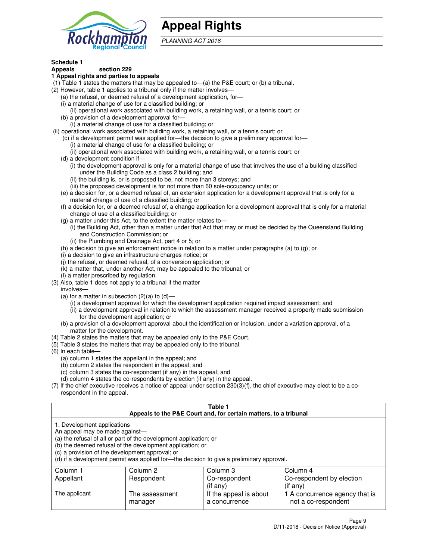

## **Appeal Rights**

PLANNING ACT 2016

## **Schedule 1**

## **Appeals section 229**

#### **1 Appeal rights and parties to appeals**

- (1) Table 1 states the matters that may be appealed to—(a) the P&E court; or (b) a tribunal.
- (2) However, table 1 applies to a tribunal only if the matter involves—
	- (a) the refusal, or deemed refusal of a development application, for—
	- (i) a material change of use for a classified building; or
	- (ii) operational work associated with building work, a retaining wall, or a tennis court; or
	- (b) a provision of a development approval for—
	- (i) a material change of use for a classified building; or
- (ii) operational work associated with building work, a retaining wall, or a tennis court; or
	- (c) if a development permit was applied for—the decision to give a preliminary approval for—
		- (i) a material change of use for a classified building; or
		- (ii) operational work associated with building work, a retaining wall, or a tennis court; or
	- (d) a development condition if—
		- (i) the development approval is only for a material change of use that involves the use of a building classified under the Building Code as a class 2 building; and
		- (ii) the building is, or is proposed to be, not more than 3 storeys; and
		- (iii) the proposed development is for not more than 60 sole-occupancy units; or
	- (e) a decision for, or a deemed refusal of, an extension application for a development approval that is only for a material change of use of a classified building; or
	- (f) a decision for, or a deemed refusal of, a change application for a development approval that is only for a material change of use of a classified building; or
	- (g) a matter under this Act, to the extent the matter relates to—
		- (i) the Building Act, other than a matter under that Act that may or must be decided by the Queensland Building and Construction Commission; or
		- (ii) the Plumbing and Drainage Act, part 4 or 5; or
	- (h) a decision to give an enforcement notice in relation to a matter under paragraphs (a) to (g); or
	- (i) a decision to give an infrastructure charges notice; or
	- (j) the refusal, or deemed refusal, of a conversion application; or
	- (k) a matter that, under another Act, may be appealed to the tribunal; or
	- (l) a matter prescribed by regulation.
- (3) Also, table 1 does not apply to a tribunal if the matter
	- involves—
	- (a) for a matter in subsection  $(2)(a)$  to  $(d)$ 
		- (i) a development approval for which the development application required impact assessment; and
		- (ii) a development approval in relation to which the assessment manager received a properly made submission for the development application; or
	- (b) a provision of a development approval about the identification or inclusion, under a variation approval, of a matter for the development.
- (4) Table 2 states the matters that may be appealed only to the P&E Court.
- (5) Table 3 states the matters that may be appealed only to the tribunal.
- (6) In each table—
	- (a) column 1 states the appellant in the appeal; and
	- (b) column 2 states the respondent in the appeal; and
	- (c) column 3 states the co-respondent (if any) in the appeal; and
	- (d) column 4 states the co-respondents by election (if any) in the appeal.
- (7) If the chief executive receives a notice of appeal under section 230(3)(f), the chief executive may elect to be a corespondent in the appeal.

| Table 1<br>Appeals to the P&E Court and, for certain matters, to a tribunal                                                                                                                                                                                                                                                                    |                           |                                         |                                                       |  |
|------------------------------------------------------------------------------------------------------------------------------------------------------------------------------------------------------------------------------------------------------------------------------------------------------------------------------------------------|---------------------------|-----------------------------------------|-------------------------------------------------------|--|
| 1. Development applications<br>An appeal may be made against-<br>(a) the refusal of all or part of the development application; or<br>(b) the deemed refusal of the development application; or<br>(c) a provision of the development approval; or<br>(d) if a development permit was applied for-the decision to give a preliminary approval. |                           |                                         |                                                       |  |
| Column 3<br>Column 2<br>Column 4<br>Column 1                                                                                                                                                                                                                                                                                                   |                           |                                         |                                                       |  |
| Appellant                                                                                                                                                                                                                                                                                                                                      | Respondent                | Co-respondent                           | Co-respondent by election                             |  |
| $($ if any $)$<br>$($ if any $)$                                                                                                                                                                                                                                                                                                               |                           |                                         |                                                       |  |
| The applicant                                                                                                                                                                                                                                                                                                                                  | The assessment<br>manager | If the appeal is about<br>a concurrence | 1 A concurrence agency that is<br>not a co-respondent |  |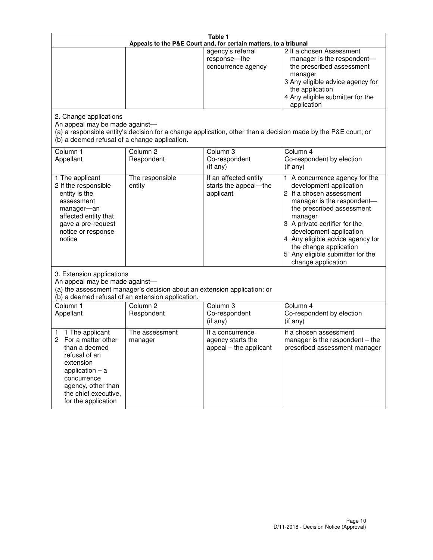| Table 1<br>Appeals to the P&E Court and, for certain matters, to a tribunal                                                                                                                             |                                   |                                                                 |                                                                                                                                                                                                                                                                                                                                                 |  |
|---------------------------------------------------------------------------------------------------------------------------------------------------------------------------------------------------------|-----------------------------------|-----------------------------------------------------------------|-------------------------------------------------------------------------------------------------------------------------------------------------------------------------------------------------------------------------------------------------------------------------------------------------------------------------------------------------|--|
|                                                                                                                                                                                                         |                                   | agency's referral<br>response-the<br>concurrence agency         | 2 If a chosen Assessment<br>manager is the respondent-<br>the prescribed assessment<br>manager<br>3 Any eligible advice agency for<br>the application<br>4 Any eligible submitter for the<br>application                                                                                                                                        |  |
| 2. Change applications<br>An appeal may be made against-<br>(b) a deemed refusal of a change application.                                                                                               |                                   |                                                                 | (a) a responsible entity's decision for a change application, other than a decision made by the P&E court; or                                                                                                                                                                                                                                   |  |
| Column 1<br>Appellant                                                                                                                                                                                   | Column <sub>2</sub><br>Respondent | Column 3<br>Co-respondent<br>(if any)                           | Column 4<br>Co-respondent by election<br>(if any)                                                                                                                                                                                                                                                                                               |  |
| 1 The applicant<br>2 If the responsible<br>entity is the<br>assessment<br>manager-an<br>affected entity that<br>gave a pre-request<br>notice or response<br>notice                                      | The responsible<br>entity         | If an affected entity<br>starts the appeal-the<br>applicant     | 1 A concurrence agency for the<br>development application<br>2 If a chosen assessment<br>manager is the respondent-<br>the prescribed assessment<br>manager<br>3 A private certifier for the<br>development application<br>4 Any eligible advice agency for<br>the change application<br>5 Any eligible submitter for the<br>change application |  |
| 3. Extension applications<br>An appeal may be made against-<br>(a) the assessment manager's decision about an extension application; or<br>(b) a deemed refusal of an extension application.            |                                   |                                                                 |                                                                                                                                                                                                                                                                                                                                                 |  |
| Column 1<br>Appellant                                                                                                                                                                                   | Column <sub>2</sub><br>Respondent | Column <sub>3</sub><br>Co-respondent<br>(if any)                | Column 4<br>Co-respondent by election<br>(if any)                                                                                                                                                                                                                                                                                               |  |
| 1 The applicant<br>1<br>For a matter other<br>2<br>than a deemed<br>refusal of an<br>extension<br>application $-$ a<br>concurrence<br>agency, other than<br>the chief executive,<br>for the application | The assessment<br>manager         | If a concurrence<br>agency starts the<br>appeal - the applicant | If a chosen assessment<br>manager is the respondent $-$ the<br>prescribed assessment manager                                                                                                                                                                                                                                                    |  |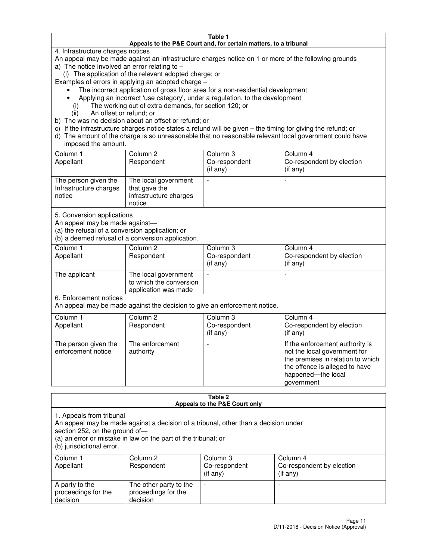#### **Table 1 Appeals to the P&E Court and, for certain matters, to a tribunal**

4. Infrastructure charges notices

An appeal may be made against an infrastructure charges notice on 1 or more of the following grounds

- a) The notice involved an error relating to
	- (i) The application of the relevant adopted charge; or

Examples of errors in applying an adopted charge –

- The incorrect application of gross floor area for a non-residential development
- Applying an incorrect 'use category', under a regulation, to the development
	- (i) The working out of extra demands, for section 120; or
	- (ii) An offset or refund; or
- b) The was no decision about an offset or refund; or
- c) If the infrastructure charges notice states a refund will be given the timing for giving the refund; or
- d) The amount of the charge is so unreasonable that no reasonable relevant local government could have imposed the amount.

| Column 1<br>Appellant                                    | Column 2<br>Respondent                                                    | Column 3<br>Co-respondent<br>$($ if any $)$ | Column 4<br>Co-respondent by election<br>$($ if any $)$ |
|----------------------------------------------------------|---------------------------------------------------------------------------|---------------------------------------------|---------------------------------------------------------|
| The person given the<br>Infrastructure charges<br>notice | The local government<br>that gave the<br>infrastructure charges<br>notice |                                             |                                                         |

5. Conversion applications

An appeal may be made against—

(a) the refusal of a conversion application; or

(b) a deemed refusal of a conversion application.

| Column 1<br>Appellant | Column 2<br>Respondent                                                  | Column 3<br>Co-respondent<br>$($ if any $)$ | Column 4<br>Co-respondent by election<br>$($ if any $)$ |
|-----------------------|-------------------------------------------------------------------------|---------------------------------------------|---------------------------------------------------------|
| The applicant         | The local government<br>to which the conversion<br>application was made |                                             |                                                         |

6. Enforcement notices

An appeal may be made against the decision to give an enforcement notice.

| Column 1<br>Appellant                      | Column 2<br>Respondent       | Column 3<br>Co-respondent<br>$($ if any $)$ | Column 4<br>Co-respondent by election<br>(if any)                                                                                                                          |
|--------------------------------------------|------------------------------|---------------------------------------------|----------------------------------------------------------------------------------------------------------------------------------------------------------------------------|
| The person given the<br>enforcement notice | The enforcement<br>authority |                                             | If the enforcement authority is<br>not the local government for<br>the premises in relation to which<br>the offence is alleged to have<br>happened-the local<br>government |

#### **Table 2 Appeals to the P&E Court only**

1. Appeals from tribunal

An appeal may be made against a decision of a tribunal, other than a decision under

section 252, on the ground of—

(a) an error or mistake in law on the part of the tribunal; or

(b) jurisdictional error.

| Column 1<br>Appellant                             | Column 2<br>Respondent                                    | Column 3<br>Co-respondent<br>(if any) | Column 4<br>Co-respondent by election<br>(if any) |
|---------------------------------------------------|-----------------------------------------------------------|---------------------------------------|---------------------------------------------------|
| A party to the<br>proceedings for the<br>decision | The other party to the<br>proceedings for the<br>decision | $\overline{\phantom{a}}$              |                                                   |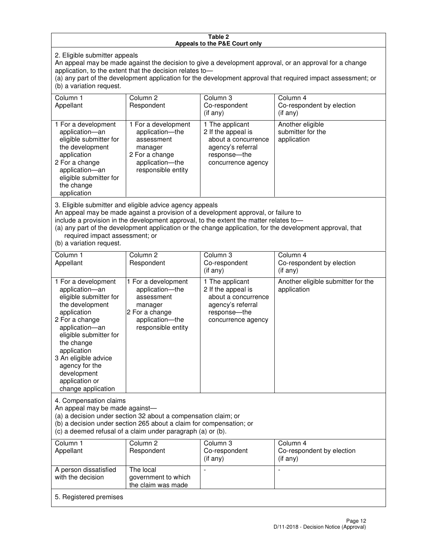#### **Table 2 Appeals to the P&E Court only**

2. Eligible submitter appeals

An appeal may be made against the decision to give a development approval, or an approval for a change application, to the extent that the decision relates to—

(a) any part of the development application for the development approval that required impact assessment; or (b) a variation request.

| Column 1<br>Appellant                                                                                                                                                                                                                                                                                                                                                                                              | Column <sub>2</sub><br>Respondent                                                                                          | Column 3<br>Co-respondent<br>$($ if any $)$                                                                             | Column 4<br>Co-respondent by election<br>(if any)             |
|--------------------------------------------------------------------------------------------------------------------------------------------------------------------------------------------------------------------------------------------------------------------------------------------------------------------------------------------------------------------------------------------------------------------|----------------------------------------------------------------------------------------------------------------------------|-------------------------------------------------------------------------------------------------------------------------|---------------------------------------------------------------|
| 1 For a development<br>application-an<br>eligible submitter for<br>the development<br>application<br>2 For a change<br>application-an<br>eligible submitter for<br>the change<br>application                                                                                                                                                                                                                       | 1 For a development<br>application-the<br>assessment<br>manager<br>2 For a change<br>application-the<br>responsible entity | 1 The applicant<br>2 If the appeal is<br>about a concurrence<br>agency's referral<br>response-the<br>concurrence agency | Another eligible<br>submitter for the<br>application          |
| 3. Eligible submitter and eligible advice agency appeals<br>An appeal may be made against a provision of a development approval, or failure to<br>include a provision in the development approval, to the extent the matter relates to-<br>(a) any part of the development application or the change application, for the development approval, that<br>required impact assessment; or<br>(b) a variation request. |                                                                                                                            |                                                                                                                         |                                                               |
| Column <sub>1</sub><br>Appellant                                                                                                                                                                                                                                                                                                                                                                                   | Column <sub>2</sub><br>Respondent                                                                                          | Column 3<br>Co-respondent<br>$(if$ any)                                                                                 | Column <sub>4</sub><br>Co-respondent by election<br>(i f any) |
| 1 For a development<br>application-an<br>eligible submitter for<br>the development<br>application                                                                                                                                                                                                                                                                                                                  | 1 For a development<br>application-the<br>assessment<br>manager<br>2 For a change                                          | 1 The applicant<br>2 If the appeal is<br>about a concurrence<br>agency's referral<br>response---the                     | Another eligible submitter for the<br>application             |

concurrence agency

4. Compensation claims

2 For a change application—an eligible submitter for

the change application 3 An eligible advice agency for the development application or change application

An appeal may be made against—

(a) a decision under section 32 about a compensation claim; or

(b) a decision under section 265 about a claim for compensation; or

application—the responsible entity

(c) a deemed refusal of a claim under paragraph (a) or (b).

| Column 1<br>Appellant                      | Column 2<br>Respondent                                 | Column 3<br>Co-respondent<br>$(if$ any) | Column 4<br>Co-respondent by election<br>(if any) |
|--------------------------------------------|--------------------------------------------------------|-----------------------------------------|---------------------------------------------------|
| A person dissatisfied<br>with the decision | The local<br>government to which<br>the claim was made | $\overline{\phantom{a}}$                |                                                   |
| 5. Registered premises                     |                                                        |                                         |                                                   |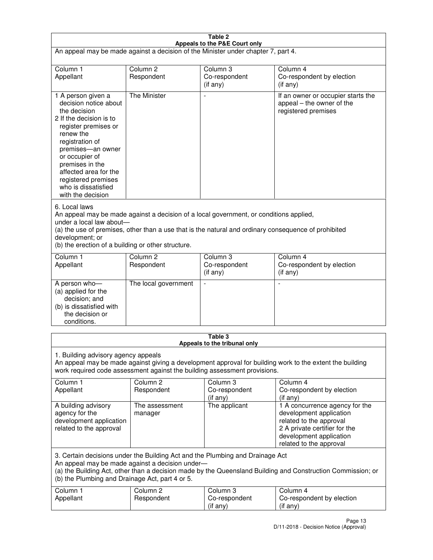| Table 2<br>Appeals to the P&E Court only                                                                                                                                                                                                                                                                                |                                                                                                                                                                                                                                                                                  |                                       |                                                                                                                                                                             |  |  |
|-------------------------------------------------------------------------------------------------------------------------------------------------------------------------------------------------------------------------------------------------------------------------------------------------------------------------|----------------------------------------------------------------------------------------------------------------------------------------------------------------------------------------------------------------------------------------------------------------------------------|---------------------------------------|-----------------------------------------------------------------------------------------------------------------------------------------------------------------------------|--|--|
| An appeal may be made against a decision of the Minister under chapter 7, part 4.                                                                                                                                                                                                                                       |                                                                                                                                                                                                                                                                                  |                                       |                                                                                                                                                                             |  |  |
|                                                                                                                                                                                                                                                                                                                         |                                                                                                                                                                                                                                                                                  |                                       |                                                                                                                                                                             |  |  |
| Column 1<br>Appellant                                                                                                                                                                                                                                                                                                   | Column <sub>2</sub><br>Respondent                                                                                                                                                                                                                                                | Column <sub>3</sub><br>Co-respondent  | Column <sub>4</sub><br>Co-respondent by election                                                                                                                            |  |  |
|                                                                                                                                                                                                                                                                                                                         |                                                                                                                                                                                                                                                                                  | $($ if any $)$                        | (if any)                                                                                                                                                                    |  |  |
| 1 A person given a<br>decision notice about<br>the decision<br>2 If the decision is to<br>register premises or<br>renew the<br>registration of<br>premises-an owner<br>or occupier of<br>premises in the<br>affected area for the<br>registered premises<br>who is dissatisfied<br>with the decision                    | <b>The Minister</b>                                                                                                                                                                                                                                                              |                                       | If an owner or occupier starts the<br>appeal – the owner of the<br>registered premises                                                                                      |  |  |
| 6. Local laws<br>development; or                                                                                                                                                                                                                                                                                        | An appeal may be made against a decision of a local government, or conditions applied,<br>under a local law about-<br>(a) the use of premises, other than a use that is the natural and ordinary consequence of prohibited<br>(b) the erection of a building or other structure. |                                       |                                                                                                                                                                             |  |  |
| Column 1                                                                                                                                                                                                                                                                                                                | Column <sub>2</sub>                                                                                                                                                                                                                                                              | Column 3                              | Column $\overline{4}$                                                                                                                                                       |  |  |
| Appellant                                                                                                                                                                                                                                                                                                               | Respondent                                                                                                                                                                                                                                                                       | Co-respondent<br>(if any)             | Co-respondent by election<br>(if any)                                                                                                                                       |  |  |
| A person who-<br>(a) applied for the<br>decision; and<br>(b) is dissatisfied with<br>the decision or<br>conditions.                                                                                                                                                                                                     | The local government                                                                                                                                                                                                                                                             |                                       |                                                                                                                                                                             |  |  |
| Table 3                                                                                                                                                                                                                                                                                                                 |                                                                                                                                                                                                                                                                                  |                                       |                                                                                                                                                                             |  |  |
| Appeals to the tribunal only<br>1. Building advisory agency appeals<br>An appeal may be made against giving a development approval for building work to the extent the building<br>work required code assessment against the building assessment provisions.<br>Column 1<br>Column <sub>2</sub><br>Column 3<br>Column 4 |                                                                                                                                                                                                                                                                                  |                                       |                                                                                                                                                                             |  |  |
| Appellant                                                                                                                                                                                                                                                                                                               | Respondent                                                                                                                                                                                                                                                                       | Co-respondent<br>(if any)             | Co-respondent by election<br>(if any)                                                                                                                                       |  |  |
| A building advisory<br>agency for the<br>development application<br>related to the approval                                                                                                                                                                                                                             | The assessment<br>manager                                                                                                                                                                                                                                                        | The applicant                         | 1 A concurrence agency for the<br>development application<br>related to the approval<br>2 A private certifier for the<br>development application<br>related to the approval |  |  |
| 3. Certain decisions under the Building Act and the Plumbing and Drainage Act<br>An appeal may be made against a decision under-<br>(a) the Building Act, other than a decision made by the Queensland Building and Construction Commission; or<br>(b) the Plumbing and Drainage Act, part 4 or 5.                      |                                                                                                                                                                                                                                                                                  |                                       |                                                                                                                                                                             |  |  |
| Column 1<br>Appellant                                                                                                                                                                                                                                                                                                   | Column <sub>2</sub><br>Respondent                                                                                                                                                                                                                                                | Column 3<br>Co-respondent<br>(if any) | Column 4<br>Co-respondent by election<br>(if any)                                                                                                                           |  |  |